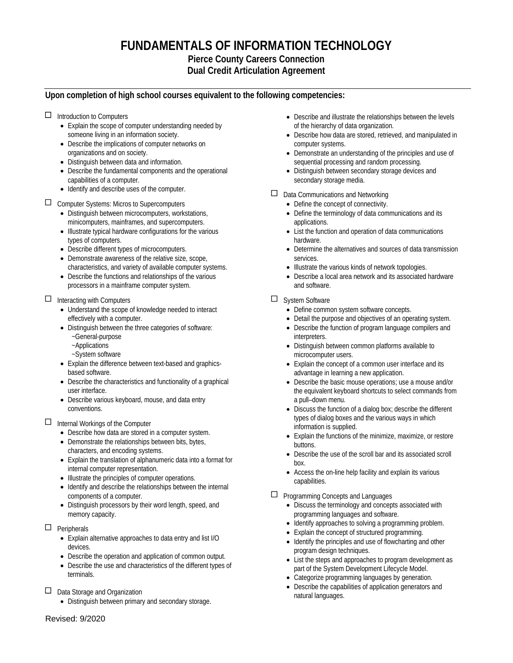# **FUNDAMENTALS OF INFORMATION TECHNOLOGY**

## **Pierce County Careers Connection Dual Credit Articulation Agreement**

# **Upon completion of high school courses equivalent to the following competencies:**

# $\Box$  Introduction to Computers

- Explain the scope of computer understanding needed by someone living in an information society.
- Describe the implications of computer networks on organizations and on society.
- Distinguish between data and information.
- Describe the fundamental components and the operational capabilities of a computer.
- Identify and describe uses of the computer.

## □ Computer Systems: Micros to Supercomputers

- Distinguish between microcomputers, workstations, minicomputers, mainframes, and supercomputers.
- Illustrate typical hardware configurations for the various types of computers.
- Describe different types of microcomputers.
- Demonstrate awareness of the relative size, scope, characteristics, and variety of available computer systems.
- Describe the functions and relationships of the various processors in a mainframe computer system.

## $\Box$  Interacting with Computers

- Understand the scope of knowledge needed to interact effectively with a computer.
- Distinguish between the three categories of software:
	- ~General-purpose ~Applications
	- ~System software
- Explain the difference between text-based and graphicsbased software.
- Describe the characteristics and functionality of a graphical user interface.
- Describe various keyboard, mouse, and data entry conventions.

#### $\Box$  Internal Workings of the Computer

- Describe how data are stored in a computer system.
- Demonstrate the relationships between bits, bytes, characters, and encoding systems.
- Explain the translation of alphanumeric data into a format for internal computer representation.
- Illustrate the principles of computer operations.
- Identify and describe the relationships between the internal components of a computer.
- Distinguish processors by their word length, speed, and memory capacity.

## $\Box$  Peripherals

- Explain alternative approaches to data entry and list I/O devices.
- Describe the operation and application of common output.
- Describe the use and characteristics of the different types of terminals.

## $\Box$  Data Storage and Organization

• Distinguish between primary and secondary storage.

- Describe and illustrate the relationships between the levels of the hierarchy of data organization.
- Describe how data are stored, retrieved, and manipulated in computer systems.
- Demonstrate an understanding of the principles and use of sequential processing and random processing.
- Distinguish between secondary storage devices and secondary storage media.

## $\Box$  Data Communications and Networking

- Define the concept of connectivity.
	- Define the terminology of data communications and its applications.
	- List the function and operation of data communications hardware.
	- Determine the alternatives and sources of data transmission services.
	- Illustrate the various kinds of network topologies.
- Describe a local area network and its associated hardware and software.

# System Software

- Define common system software concepts.
- Detail the purpose and objectives of an operating system.
- Describe the function of program language compilers and interpreters.
- Distinguish between common platforms available to microcomputer users.
- Explain the concept of a common user interface and its advantage in learning a new application.
- Describe the basic mouse operations; use a mouse and/or the equivalent keyboard shortcuts to select commands from a pull–down menu.
- Discuss the function of a dialog box; describe the different types of dialog boxes and the various ways in which information is supplied.
- Explain the functions of the minimize, maximize, or restore buttons.
- Describe the use of the scroll bar and its associated scroll box.
- Access the on-line help facility and explain its various capabilities.

## Programming Concepts and Languages

- Discuss the terminology and concepts associated with programming languages and software.
- Identify approaches to solving a programming problem.
- Explain the concept of structured programming.
- Identify the principles and use of flowcharting and other program design techniques.
- List the steps and approaches to program development as part of the System Development Lifecycle Model.
- Categorize programming languages by generation.
- Describe the capabilities of application generators and natural languages.